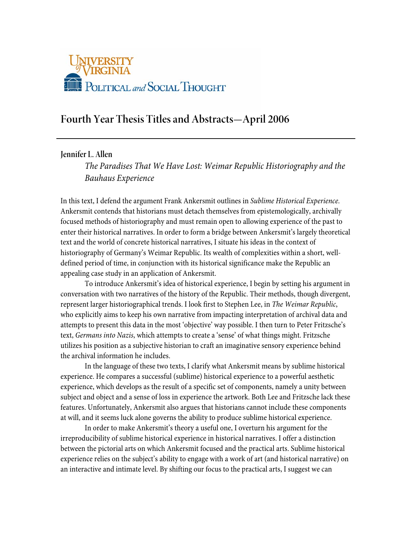

# **Fourth Year Thesis Titles and Abstracts—April 2006**

**Jennifer L. Allen** 

*The Paradises That We Have Lost: Weimar Republic Historiography and the Bauhaus Experience* 

In this text, I defend the argument Frank Ankersmit outlines in *Sublime Historical Experience*. Ankersmit contends that historians must detach themselves from epistemologically, archivally focused methods of historiography and must remain open to allowing experience of the past to enter their historical narratives. In order to form a bridge between Ankersmit's largely theoretical text and the world of concrete historical narratives, I situate his ideas in the context of historiography of Germany's Weimar Republic. Its wealth of complexities within a short, welldefined period of time, in conjunction with its historical significance make the Republic an appealing case study in an application of Ankersmit.

 To introduce Ankersmit's idea of historical experience, I begin by setting his argument in conversation with two narratives of the history of the Republic. Their methods, though divergent, represent larger historiographical trends. I look first to Stephen Lee, in *The Weimar Republic*, who explicitly aims to keep his own narrative from impacting interpretation of archival data and attempts to present this data in the most 'objective' way possible. I then turn to Peter Fritzsche's text, *Germans into Nazis*, which attempts to create a 'sense' of what things might. Fritzsche utilizes his position as a subjective historian to craft an imaginative sensory experience behind the archival information he includes.

 In the language of these two texts, I clarify what Ankersmit means by sublime historical experience. He compares a successful (sublime) historical experience to a powerful aesthetic experience, which develops as the result of a specific set of components, namely a unity between subject and object and a sense of loss in experience the artwork. Both Lee and Fritzsche lack these features. Unfortunately, Ankersmit also argues that historians cannot include these components at will, and it seems luck alone governs the ability to produce sublime historical experience.

 In order to make Ankersmit's theory a useful one, I overturn his argument for the irreproducibility of sublime historical experience in historical narratives. I offer a distinction between the pictorial arts on which Ankersmit focused and the practical arts. Sublime historical experience relies on the subject's ability to engage with a work of art (and historical narrative) on an interactive and intimate level. By shifting our focus to the practical arts, I suggest we can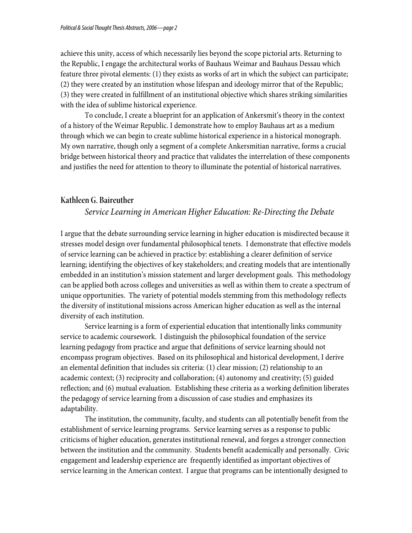achieve this unity, access of which necessarily lies beyond the scope pictorial arts. Returning to the Republic, I engage the architectural works of Bauhaus Weimar and Bauhaus Dessau which feature three pivotal elements: (1) they exists as works of art in which the subject can participate; (2) they were created by an institution whose lifespan and ideology mirror that of the Republic; (3) they were created in fulfillment of an institutional objective which shares striking similarities with the idea of sublime historical experience.

 To conclude, I create a blueprint for an application of Ankersmit's theory in the context of a history of the Weimar Republic. I demonstrate how to employ Bauhaus art as a medium through which we can begin to create sublime historical experience in a historical monograph. My own narrative, though only a segment of a complete Ankersmitian narrative, forms a crucial bridge between historical theory and practice that validates the interrelation of these components and justifies the need for attention to theory to illuminate the potential of historical narratives.

### **Kathleen G. Baireuther**

### *Service Learning in American Higher Education: Re-Directing the Debate*

I argue that the debate surrounding service learning in higher education is misdirected because it stresses model design over fundamental philosophical tenets. I demonstrate that effective models of service learning can be achieved in practice by: establishing a clearer definition of service learning; identifying the objectives of key stakeholders; and creating models that are intentionally embedded in an institution's mission statement and larger development goals. This methodology can be applied both across colleges and universities as well as within them to create a spectrum of unique opportunities. The variety of potential models stemming from this methodology reflects the diversity of institutional missions across American higher education as well as the internal diversity of each institution.

 Service learning is a form of experiential education that intentionally links community service to academic coursework. I distinguish the philosophical foundation of the service learning pedagogy from practice and argue that definitions of service learning should not encompass program objectives. Based on its philosophical and historical development, I derive an elemental definition that includes six criteria: (1) clear mission; (2) relationship to an academic context; (3) reciprocity and collaboration; (4) autonomy and creativity; (5) guided reflection; and (6) mutual evaluation. Establishing these criteria as a working definition liberates the pedagogy of service learning from a discussion of case studies and emphasizes its adaptability.

The institution, the community, faculty, and students can all potentially benefit from the establishment of service learning programs. Service learning serves as a response to public criticisms of higher education, generates institutional renewal, and forges a stronger connection between the institution and the community. Students benefit academically and personally. Civic engagement and leadership experience are frequently identified as important objectives of service learning in the American context. I argue that programs can be intentionally designed to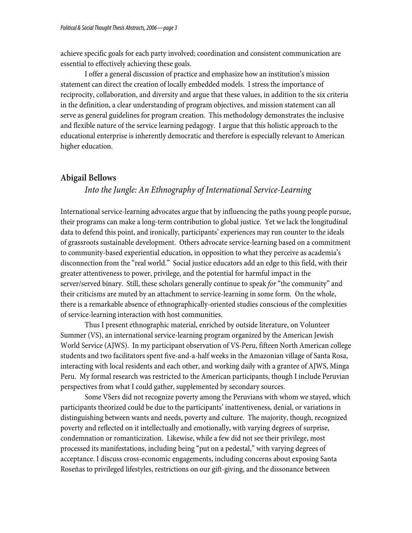achieve specific goals for each party involved; coordination and consistent communication are essential to effectively achieving these goals.

I offer a general discussion of practice and emphasize how an institution's mission statement can direct the creation of locally embedded models. I stress the importance of reciprocity, collaboration, and diversity and argue that these values, in addition to the six criteria in the definition, a clear understanding of program objectives, and mission statement can all serve as general guidelines for program creation. This methodology demonstrates the inclusive and flexible nature of the service learning pedagogy. I argue that this holistic approach to the educational enterprise is inherently democratic and therefore is especially relevant to American higher education.

### **Abigail Bellows**

## *Into the Jungle: An Ethnography of International Service-Learning*

International service-learning advocates argue that by influencing the paths young people pursue, their programs can make a long-term contribution to global justice. Yet we lack the longitudinal data to defend this point, and ironically, participants' experiences may run counter to the ideals of grassroots sustainable development. Others advocate service-learning based on a commitment to community-based experiential education, in opposition to what they perceive as academia's disconnection from the "real world." Social justice educators add an edge to this field, with their greater attentiveness to power, privilege, and the potential for harmful impact in the server/served binary. Still, these scholars generally continue to speak *for* "the community" and their criticisms are muted by an attachment to service-learning in some form. On the whole, there is a remarkable absence of ethnographically-oriented studies conscious of the complexities of service-learning interaction with host communities.

Thus I present ethnographic material, enriched by outside literature, on Volunteer Summer (VS), an international service-learning program organized by the American Jewish World Service (AJWS). In my participant observation of VS-Peru, fifteen North American college students and two facilitators spent five-and-a-half weeks in the Amazonian village of Santa Rosa, interacting with local residents and each other, and working daily with a grantee of AJWS, Minga Peru. My formal research was restricted to the American participants, though I include Peruvian perspectives from what I could gather, supplemented by secondary sources.

Some VSers did not recognize poverty among the Peruvians with whom we stayed, which participants theorized could be due to the participants' inattentiveness, denial, or variations in distinguishing between wants and needs, poverty and culture. The majority, though, recognized poverty and reflected on it intellectually and emotionally, with varying degrees of surprise, condemnation or romanticization. Likewise, while a few did not see their privilege, most processed its manifestations, including being "put on a pedestal," with varying degrees of acceptance. I discuss cross-economic engagements, including concerns about exposing Santa Roseñas to privileged lifestyles, restrictions on our gift-giving, and the dissonance between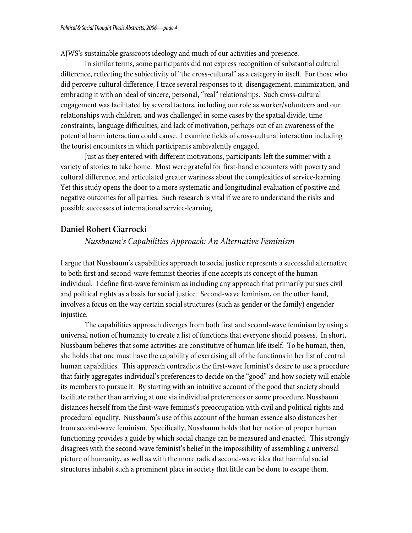AJWS's sustainable grassroots ideology and much of our activities and presence.

In similar terms, some participants did not express recognition of substantial cultural difference, reflecting the subjectivity of "the cross-cultural" as a category in itself. For those who did perceive cultural difference, I trace several responses to it: disengagement, minimization, and embracing it with an ideal of sincere, personal, "real" relationships. Such cross-cultural engagement was facilitated by several factors, including our role as worker/volunteers and our relationships with children, and was challenged in some cases by the spatial divide, time constraints, language difficulties, and lack of motivation, perhaps out of an awareness of the potential harm interaction could cause. I examine fields of cross-cultural interaction including the tourist encounters in which participants ambivalently engaged.

Just as they entered with different motivations, participants left the summer with a variety of stories to take home. Most were grateful for first-hand encounters with poverty and cultural difference, and articulated greater wariness about the complexities of service-learning. Yet this study opens the door to a more systematic and longitudinal evaluation of positive and negative outcomes for all parties. Such research is vital if we are to understand the risks and possible successes of international service-learning.

### **Daniel Robert Ciarrocki**

### *Nussbaum's Capabilities Approach: An Alternative Feminism*

I argue that Nussbaum's capabilities approach to social justice represents a successful alternative to both first and second-wave feminist theories if one accepts its concept of the human individual. I define first-wave feminism as including any approach that primarily pursues civil and political rights as a basis for social justice. Second-wave feminism, on the other hand, involves a focus on the way certain social structures (such as gender or the family) engender injustice.

The capabilities approach diverges from both first and second-wave feminism by using a universal notion of humanity to create a list of functions that everyone should possess. In short, Nussbaum believes that some activities are constitutive of human life itself. To be human, then, she holds that one must have the capability of exercising all of the functions in her list of central human capabilities. This approach contradicts the first-wave feminist's desire to use a procedure that fairly aggregates individual's preferences to decide on the "good" and how society will enable its members to pursue it. By starting with an intuitive account of the good that society should facilitate rather than arriving at one via individual preferences or some procedure, Nussbaum distances herself from the first-wave feminist's preoccupation with civil and political rights and procedural equality. Nussbaum's use of this account of the human essence also distances her from second-wave feminism. Specifically, Nussbaum holds that her notion of proper human functioning provides a guide by which social change can be measured and enacted. This strongly disagrees with the second-wave feminist's belief in the impossibility of assembling a universal picture of humanity, as well as with the more radical second-wave idea that harmful social structures inhabit such a prominent place in society that little can be done to escape them.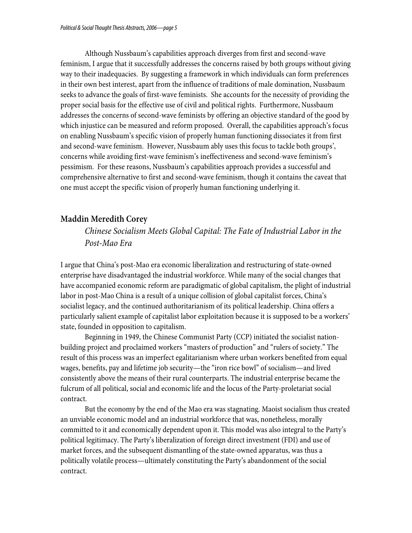Although Nussbaum's capabilities approach diverges from first and second-wave feminism, I argue that it successfully addresses the concerns raised by both groups without giving way to their inadequacies. By suggesting a framework in which individuals can form preferences in their own best interest, apart from the influence of traditions of male domination, Nussbaum seeks to advance the goals of first-wave feminists. She accounts for the necessity of providing the proper social basis for the effective use of civil and political rights. Furthermore, Nussbaum addresses the concerns of second-wave feminists by offering an objective standard of the good by which injustice can be measured and reform proposed. Overall, the capabilities approach's focus on enabling Nussbaum's specific vision of properly human functioning dissociates it from first and second-wave feminism. However, Nussbaum ably uses this focus to tackle both groups', concerns while avoiding first-wave feminism's ineffectiveness and second-wave feminism's pessimism. For these reasons, Nussbaum's capabilities approach provides a successful and comprehensive alternative to first and second-wave feminism, though it contains the caveat that one must accept the specific vision of properly human functioning underlying it.

### **Maddin Meredith Corey**

*Chinese Socialism Meets Global Capital: The Fate of Industrial Labor in the Post-Mao Era* 

I argue that China's post-Mao era economic liberalization and restructuring of state-owned enterprise have disadvantaged the industrial workforce. While many of the social changes that have accompanied economic reform are paradigmatic of global capitalism, the plight of industrial labor in post-Mao China is a result of a unique collision of global capitalist forces, China's socialist legacy, and the continued authoritarianism of its political leadership. China offers a particularly salient example of capitalist labor exploitation because it is supposed to be a workers' state, founded in opposition to capitalism.

Beginning in 1949, the Chinese Communist Party (CCP) initiated the socialist nationbuilding project and proclaimed workers "masters of production" and "rulers of society." The result of this process was an imperfect egalitarianism where urban workers benefited from equal wages, benefits, pay and lifetime job security—the "iron rice bowl" of socialism—and lived consistently above the means of their rural counterparts. The industrial enterprise became the fulcrum of all political, social and economic life and the locus of the Party-proletariat social contract.

But the economy by the end of the Mao era was stagnating. Maoist socialism thus created an unviable economic model and an industrial workforce that was, nonetheless, morally committed to it and economically dependent upon it. This model was also integral to the Party's political legitimacy. The Party's liberalization of foreign direct investment (FDI) and use of market forces, and the subsequent dismantling of the state-owned apparatus, was thus a politically volatile process—ultimately constituting the Party's abandonment of the social contract.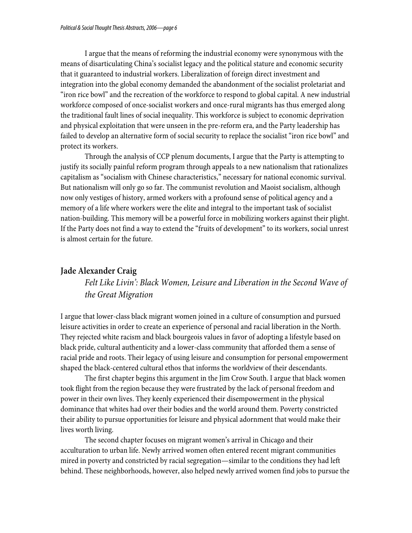I argue that the means of reforming the industrial economy were synonymous with the means of disarticulating China's socialist legacy and the political stature and economic security that it guaranteed to industrial workers. Liberalization of foreign direct investment and integration into the global economy demanded the abandonment of the socialist proletariat and "iron rice bowl" and the recreation of the workforce to respond to global capital. A new industrial workforce composed of once-socialist workers and once-rural migrants has thus emerged along the traditional fault lines of social inequality. This workforce is subject to economic deprivation and physical exploitation that were unseen in the pre-reform era, and the Party leadership has failed to develop an alternative form of social security to replace the socialist "iron rice bowl" and protect its workers.

Through the analysis of CCP plenum documents, I argue that the Party is attempting to justify its socially painful reform program through appeals to a new nationalism that rationalizes capitalism as "socialism with Chinese characteristics," necessary for national economic survival. But nationalism will only go so far. The communist revolution and Maoist socialism, although now only vestiges of history, armed workers with a profound sense of political agency and a memory of a life where workers were the elite and integral to the important task of socialist nation-building. This memory will be a powerful force in mobilizing workers against their plight. If the Party does not find a way to extend the "fruits of development" to its workers, social unrest is almost certain for the future.

### **Jade Alexander Craig**

# *Felt Like Livin': Black Women, Leisure and Liberation in the Second Wave of the Great Migration*

I argue that lower-class black migrant women joined in a culture of consumption and pursued leisure activities in order to create an experience of personal and racial liberation in the North. They rejected white racism and black bourgeois values in favor of adopting a lifestyle based on black pride, cultural authenticity and a lower-class community that afforded them a sense of racial pride and roots. Their legacy of using leisure and consumption for personal empowerment shaped the black-centered cultural ethos that informs the worldview of their descendants.

 The first chapter begins this argument in the Jim Crow South. I argue that black women took flight from the region because they were frustrated by the lack of personal freedom and power in their own lives. They keenly experienced their disempowerment in the physical dominance that whites had over their bodies and the world around them. Poverty constricted their ability to pursue opportunities for leisure and physical adornment that would make their lives worth living.

 The second chapter focuses on migrant women's arrival in Chicago and their acculturation to urban life. Newly arrived women often entered recent migrant communities mired in poverty and constricted by racial segregation—similar to the conditions they had left behind. These neighborhoods, however, also helped newly arrived women find jobs to pursue the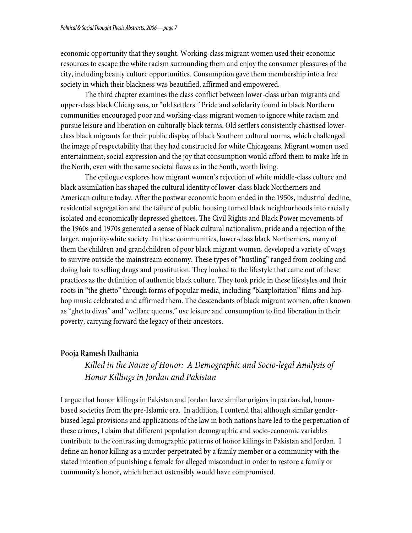economic opportunity that they sought. Working-class migrant women used their economic resources to escape the white racism surrounding them and enjoy the consumer pleasures of the city, including beauty culture opportunities. Consumption gave them membership into a free society in which their blackness was beautified, affirmed and empowered.

 The third chapter examines the class conflict between lower-class urban migrants and upper-class black Chicagoans, or "old settlers." Pride and solidarity found in black Northern communities encouraged poor and working-class migrant women to ignore white racism and pursue leisure and liberation on culturally black terms. Old settlers consistently chastised lowerclass black migrants for their public display of black Southern cultural norms, which challenged the image of respectability that they had constructed for white Chicagoans. Migrant women used entertainment, social expression and the joy that consumption would afford them to make life in the North, even with the same societal flaws as in the South, worth living.

The epilogue explores how migrant women's rejection of white middle-class culture and black assimilation has shaped the cultural identity of lower-class black Northerners and American culture today. After the postwar economic boom ended in the 1950s, industrial decline, residential segregation and the failure of public housing turned black neighborhoods into racially isolated and economically depressed ghettoes. The Civil Rights and Black Power movements of the 1960s and 1970s generated a sense of black cultural nationalism, pride and a rejection of the larger, majority-white society. In these communities, lower-class black Northerners, many of them the children and grandchildren of poor black migrant women, developed a variety of ways to survive outside the mainstream economy. These types of "hustling" ranged from cooking and doing hair to selling drugs and prostitution. They looked to the lifestyle that came out of these practices as the definition of authentic black culture. They took pride in these lifestyles and their roots in "the ghetto" through forms of popular media, including "blaxploitation" films and hiphop music celebrated and affirmed them. The descendants of black migrant women, often known as "ghetto divas" and "welfare queens," use leisure and consumption to find liberation in their poverty, carrying forward the legacy of their ancestors.

### **Pooja Ramesh Dadhania**

*Killed in the Name of Honor: A Demographic and Socio-legal Analysis of Honor Killings in Jordan and Pakistan*

I argue that honor killings in Pakistan and Jordan have similar origins in patriarchal, honorbased societies from the pre-Islamic era. In addition, I contend that although similar genderbiased legal provisions and applications of the law in both nations have led to the perpetuation of these crimes, I claim that different population demographic and socio-economic variables contribute to the contrasting demographic patterns of honor killings in Pakistan and Jordan. I define an honor killing as a murder perpetrated by a family member or a community with the stated intention of punishing a female for alleged misconduct in order to restore a family or community's honor, which her act ostensibly would have compromised.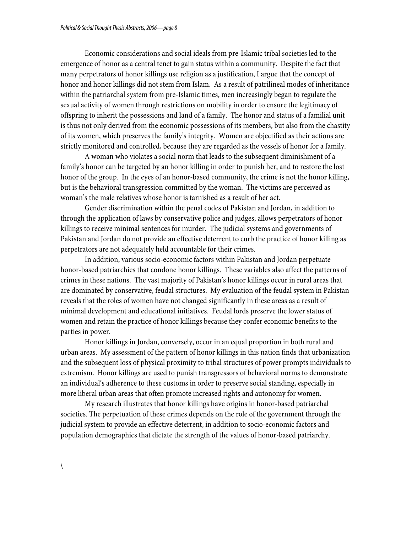Economic considerations and social ideals from pre-Islamic tribal societies led to the emergence of honor as a central tenet to gain status within a community. Despite the fact that many perpetrators of honor killings use religion as a justification, I argue that the concept of honor and honor killings did not stem from Islam. As a result of patrilineal modes of inheritance within the patriarchal system from pre-Islamic times, men increasingly began to regulate the sexual activity of women through restrictions on mobility in order to ensure the legitimacy of offspring to inherit the possessions and land of a family. The honor and status of a familial unit is thus not only derived from the economic possessions of its members, but also from the chastity of its women, which preserves the family's integrity. Women are objectified as their actions are strictly monitored and controlled, because they are regarded as the vessels of honor for a family.

A woman who violates a social norm that leads to the subsequent diminishment of a family's honor can be targeted by an honor killing in order to punish her, and to restore the lost honor of the group. In the eyes of an honor-based community, the crime is not the honor killing, but is the behavioral transgression committed by the woman. The victims are perceived as woman's the male relatives whose honor is tarnished as a result of her act.

 Gender discrimination within the penal codes of Pakistan and Jordan, in addition to through the application of laws by conservative police and judges, allows perpetrators of honor killings to receive minimal sentences for murder. The judicial systems and governments of Pakistan and Jordan do not provide an effective deterrent to curb the practice of honor killing as perpetrators are not adequately held accountable for their crimes.

In addition, various socio-economic factors within Pakistan and Jordan perpetuate honor-based patriarchies that condone honor killings. These variables also affect the patterns of crimes in these nations. The vast majority of Pakistan's honor killings occur in rural areas that are dominated by conservative, feudal structures. My evaluation of the feudal system in Pakistan reveals that the roles of women have not changed significantly in these areas as a result of minimal development and educational initiatives. Feudal lords preserve the lower status of women and retain the practice of honor killings because they confer economic benefits to the parties in power.

Honor killings in Jordan, conversely, occur in an equal proportion in both rural and urban areas. My assessment of the pattern of honor killings in this nation finds that urbanization and the subsequent loss of physical proximity to tribal structures of power prompts individuals to extremism. Honor killings are used to punish transgressors of behavioral norms to demonstrate an individual's adherence to these customs in order to preserve social standing, especially in more liberal urban areas that often promote increased rights and autonomy for women.

 My research illustrates that honor killings have origins in honor-based patriarchal societies. The perpetuation of these crimes depends on the role of the government through the judicial system to provide an effective deterrent, in addition to socio-economic factors and population demographics that dictate the strength of the values of honor-based patriarchy.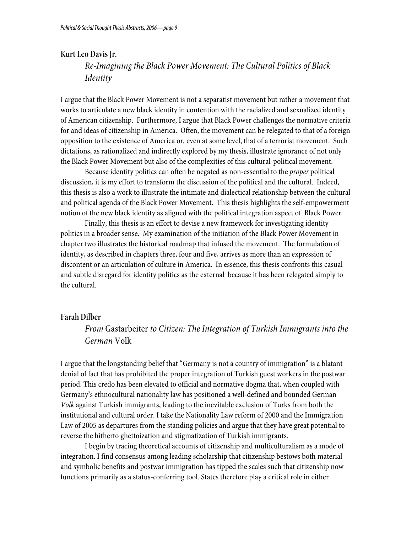### **Kurt Leo Davis Jr.**

*Re-Imagining the Black Power Movement: The Cultural Politics of Black Identity* 

I argue that the Black Power Movement is not a separatist movement but rather a movement that works to articulate a new black identity in contention with the racialized and sexualized identity of American citizenship. Furthermore, I argue that Black Power challenges the normative criteria for and ideas of citizenship in America. Often, the movement can be relegated to that of a foreign opposition to the existence of America or, even at some level, that of a terrorist movement. Such dictations, as rationalized and indirectly explored by my thesis, illustrate ignorance of not only the Black Power Movement but also of the complexities of this cultural-political movement.

Because identity politics can often be negated as non-essential to the *proper* political discussion, it is my effort to transform the discussion of the political and the cultural. Indeed, this thesis is also a work to illustrate the intimate and dialectical relationship between the cultural and political agenda of the Black Power Movement. This thesis highlights the self-empowerment notion of the new black identity as aligned with the political integration aspect of Black Power.

Finally, this thesis is an effort to devise a new framework for investigating identity politics in a broader sense. My examination of the initiation of the Black Power Movement in chapter two illustrates the historical roadmap that infused the movement. The formulation of identity, as described in chapters three, four and five, arrives as more than an expression of discontent or an articulation of culture in America. In essence, this thesis confronts this casual and subtle disregard for identity politics as the external because it has been relegated simply to the cultural.

#### **Farah Dilber**

*From* Gastarbeiter *to Citizen: The Integration of Turkish Immigrants into the German* Volk

I argue that the longstanding belief that "Germany is not a country of immigration" is a blatant denial of fact that has prohibited the proper integration of Turkish guest workers in the postwar period. This credo has been elevated to official and normative dogma that, when coupled with Germany's ethnocultural nationality law has positioned a well-defined and bounded German *Volk* against Turkish immigrants, leading to the inevitable exclusion of Turks from both the institutional and cultural order. I take the Nationality Law reform of 2000 and the Immigration Law of 2005 as departures from the standing policies and argue that they have great potential to reverse the hitherto ghettoization and stigmatization of Turkish immigrants.

 I begin by tracing theoretical accounts of citizenship and multiculturalism as a mode of integration. I find consensus among leading scholarship that citizenship bestows both material and symbolic benefits and postwar immigration has tipped the scales such that citizenship now functions primarily as a status-conferring tool. States therefore play a critical role in either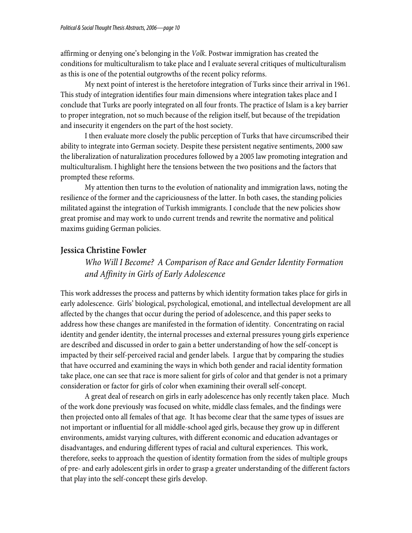affirming or denying one's belonging in the *Volk*. Postwar immigration has created the conditions for multiculturalism to take place and I evaluate several critiques of multiculturalism as this is one of the potential outgrowths of the recent policy reforms.

 My next point of interest is the heretofore integration of Turks since their arrival in 1961. This study of integration identifies four main dimensions where integration takes place and I conclude that Turks are poorly integrated on all four fronts. The practice of Islam is a key barrier to proper integration, not so much because of the religion itself, but because of the trepidation and insecurity it engenders on the part of the host society.

 I then evaluate more closely the public perception of Turks that have circumscribed their ability to integrate into German society. Despite these persistent negative sentiments, 2000 saw the liberalization of naturalization procedures followed by a 2005 law promoting integration and multiculturalism. I highlight here the tensions between the two positions and the factors that prompted these reforms.

 My attention then turns to the evolution of nationality and immigration laws, noting the resilience of the former and the capriciousness of the latter. In both cases, the standing policies militated against the integration of Turkish immigrants. I conclude that the new policies show great promise and may work to undo current trends and rewrite the normative and political maxims guiding German policies.

## **Jessica Christine Fowler**

*Who Will I Become? A Comparison of Race and Gender Identity Formation and Affinity in Girls of Early Adolescence*

This work addresses the process and patterns by which identity formation takes place for girls in early adolescence. Girls' biological, psychological, emotional, and intellectual development are all affected by the changes that occur during the period of adolescence, and this paper seeks to address how these changes are manifested in the formation of identity. Concentrating on racial identity and gender identity, the internal processes and external pressures young girls experience are described and discussed in order to gain a better understanding of how the self-concept is impacted by their self-perceived racial and gender labels. I argue that by comparing the studies that have occurred and examining the ways in which both gender and racial identity formation take place, one can see that race is more salient for girls of color and that gender is not a primary consideration or factor for girls of color when examining their overall self-concept.

 A great deal of research on girls in early adolescence has only recently taken place. Much of the work done previously was focused on white, middle class females, and the findings were then projected onto all females of that age. It has become clear that the same types of issues are not important or influential for all middle-school aged girls, because they grow up in different environments, amidst varying cultures, with different economic and education advantages or disadvantages, and enduring different types of racial and cultural experiences. This work, therefore, seeks to approach the question of identity formation from the sides of multiple groups of pre- and early adolescent girls in order to grasp a greater understanding of the different factors that play into the self-concept these girls develop.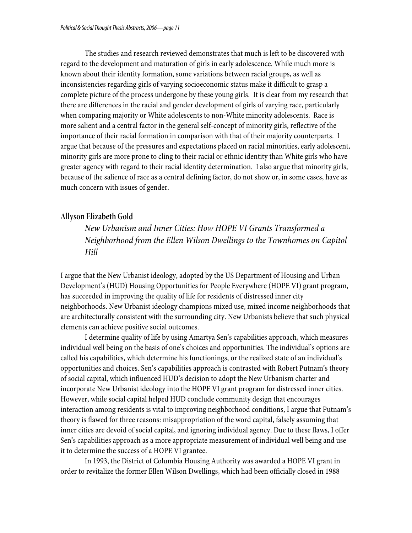The studies and research reviewed demonstrates that much is left to be discovered with regard to the development and maturation of girls in early adolescence. While much more is known about their identity formation, some variations between racial groups, as well as inconsistencies regarding girls of varying socioeconomic status make it difficult to grasp a complete picture of the process undergone by these young girls. It is clear from my research that there are differences in the racial and gender development of girls of varying race, particularly when comparing majority or White adolescents to non-White minority adolescents. Race is more salient and a central factor in the general self-concept of minority girls, reflective of the importance of their racial formation in comparison with that of their majority counterparts. I argue that because of the pressures and expectations placed on racial minorities, early adolescent, minority girls are more prone to cling to their racial or ethnic identity than White girls who have greater agency with regard to their racial identity determination. I also argue that minority girls, because of the salience of race as a central defining factor, do not show or, in some cases, have as much concern with issues of gender.

### **Allyson Elizabeth Gold**

*New Urbanism and Inner Cities: How HOPE VI Grants Transformed a Neighborhood from the Ellen Wilson Dwellings to the Townhomes on Capitol Hill* 

I argue that the New Urbanist ideology, adopted by the US Department of Housing and Urban Development's (HUD) Housing Opportunities for People Everywhere (HOPE VI) grant program, has succeeded in improving the quality of life for residents of distressed inner city neighborhoods. New Urbanist ideology champions mixed use, mixed income neighborhoods that are architecturally consistent with the surrounding city. New Urbanists believe that such physical elements can achieve positive social outcomes.

I determine quality of life by using Amartya Sen's capabilities approach, which measures individual well being on the basis of one's choices and opportunities. The individual's options are called his capabilities, which determine his functionings, or the realized state of an individual's opportunities and choices. Sen's capabilities approach is contrasted with Robert Putnam's theory of social capital, which influenced HUD's decision to adopt the New Urbanism charter and incorporate New Urbanist ideology into the HOPE VI grant program for distressed inner cities. However, while social capital helped HUD conclude community design that encourages interaction among residents is vital to improving neighborhood conditions, I argue that Putnam's theory is flawed for three reasons: misappropriation of the word capital, falsely assuming that inner cities are devoid of social capital, and ignoring individual agency. Due to these flaws, I offer Sen's capabilities approach as a more appropriate measurement of individual well being and use it to determine the success of a HOPE VI grantee.

In 1993, the District of Columbia Housing Authority was awarded a HOPE VI grant in order to revitalize the former Ellen Wilson Dwellings, which had been officially closed in 1988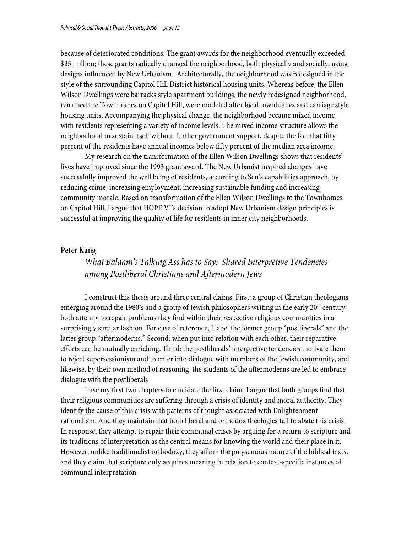because of deteriorated conditions. The grant awards for the neighborhood eventually exceeded \$25 million; these grants radically changed the neighborhood, both physically and socially, using designs influenced by New Urbanism. Architecturally, the neighborhood was redesigned in the style of the surrounding Capitol Hill District historical housing units. Whereas before, the Ellen Wilson Dwellings were barracks style apartment buildings, the newly redesigned neighborhood, renamed the Townhomes on Capitol Hill, were modeled after local townhomes and carriage style housing units. Accompanying the physical change, the neighborhood became mixed income, with residents representing a variety of income levels. The mixed income structure allows the neighborhood to sustain itself without further government support, despite the fact that fifty percent of the residents have annual incomes below fifty percent of the median area income.

My research on the transformation of the Ellen Wilson Dwellings shows that residents' lives have improved since the 1993 grant award. The New Urbanist inspired changes have successfully improved the well being of residents, according to Sen's capabilities approach, by reducing crime, increasing employment, increasing sustainable funding and increasing community morale. Based on transformation of the Ellen Wilson Dwellings to the Townhomes on Capitol Hill, I argue that HOPE VI's decision to adopt New Urbanism design principles is successful at improving the quality of life for residents in inner city neighborhoods.

### **Peter Kang**

# *What Balaam's Talking Ass has to Say: Shared Interpretive Tendencies among Postliberal Christians and Aftermodern Jews*

I construct this thesis around three central claims. First: a group of Christian theologians emerging around the 1980's and a group of Jewish philosophers writing in the early  $20<sup>th</sup>$  century both attempt to repair problems they find within their respective religious communities in a surprisingly similar fashion. For ease of reference, I label the former group "postliberals" and the latter group "aftermoderns." Second: when put into relation with each other, their reparative efforts can be mutually enriching. Third: the postliberals' interpretive tendencies motivate them to reject supersessionism and to enter into dialogue with members of the Jewish community, and likewise, by their own method of reasoning, the students of the aftermoderns are led to embrace dialogue with the postliberals

I use my first two chapters to elucidate the first claim. I argue that both groups find that their religious communities are suffering through a crisis of identity and moral authority. They identify the cause of this crisis with patterns of thought associated with Enlightenment rationalism. And they maintain that both liberal and orthodox theologies fail to abate this crisis. In response, they attempt to repair their communal crises by arguing for a return to scripture and its traditions of interpretation as the central means for knowing the world and their place in it. However, unlike traditionalist orthodoxy, they affirm the polysemous nature of the biblical texts, and they claim that scripture only acquires meaning in relation to context-specific instances of communal interpretation.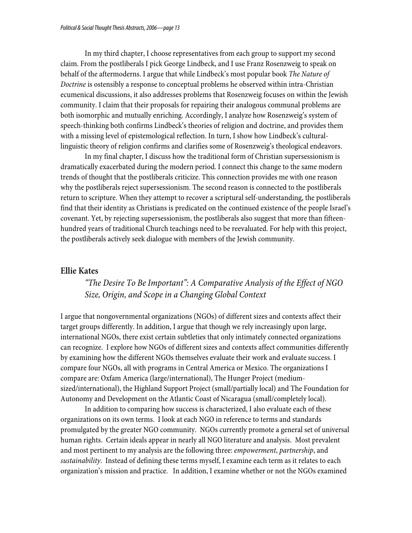In my third chapter, I choose representatives from each group to support my second claim. From the postliberals I pick George Lindbeck, and I use Franz Rosenzweig to speak on behalf of the aftermoderns. I argue that while Lindbeck's most popular book *The Nature of Doctrine* is ostensibly a response to conceptual problems he observed within intra-Christian ecumenical discussions, it also addresses problems that Rosenzweig focuses on within the Jewish community. I claim that their proposals for repairing their analogous communal problems are both isomorphic and mutually enriching. Accordingly, I analyze how Rosenzweig's system of speech-thinking both confirms Lindbeck's theories of religion and doctrine, and provides them with a missing level of epistemological reflection. In turn, I show how Lindbeck's culturallinguistic theory of religion confirms and clarifies some of Rosenzweig's theological endeavors.

In my final chapter, I discuss how the traditional form of Christian supersessionism is dramatically exacerbated during the modern period. I connect this change to the same modern trends of thought that the postliberals criticize. This connection provides me with one reason why the postliberals reject supersessionism. The second reason is connected to the postliberals return to scripture. When they attempt to recover a scriptural self-understanding, the postliberals find that their identity as Christians is predicated on the continued existence of the people Israel's covenant. Yet, by rejecting supersessionism, the postliberals also suggest that more than fifteenhundred years of traditional Church teachings need to be reevaluated. For help with this project, the postliberals actively seek dialogue with members of the Jewish community.

### **Ellie Kates**

# *"The Desire To Be Important": A Comparative Analysis of the Effect of NGO Size, Origin, and Scope in a Changing Global Context*

I argue that nongovernmental organizations (NGOs) of different sizes and contexts affect their target groups differently. In addition, I argue that though we rely increasingly upon large, international NGOs, there exist certain subtleties that only intimately connected organizations can recognize. I explore how NGOs of different sizes and contexts affect communities differently by examining how the different NGOs themselves evaluate their work and evaluate success. I compare four NGOs, all with programs in Central America or Mexico. The organizations I compare are: Oxfam America (large/international), The Hunger Project (mediumsized/international), the Highland Support Project (small/partially local) and The Foundation for Autonomy and Development on the Atlantic Coast of Nicaragua (small/completely local).

In addition to comparing how success is characterized, I also evaluate each of these organizations on its own terms. I look at each NGO in reference to terms and standards promulgated by the greater NGO community. NGOs currently promote a general set of universal human rights. Certain ideals appear in nearly all NGO literature and analysis. Most prevalent and most pertinent to my analysis are the following three: *empowerment*, *partnership*, and *sustainability*. Instead of defining these terms myself, I examine each term as it relates to each organization's mission and practice. In addition, I examine whether or not the NGOs examined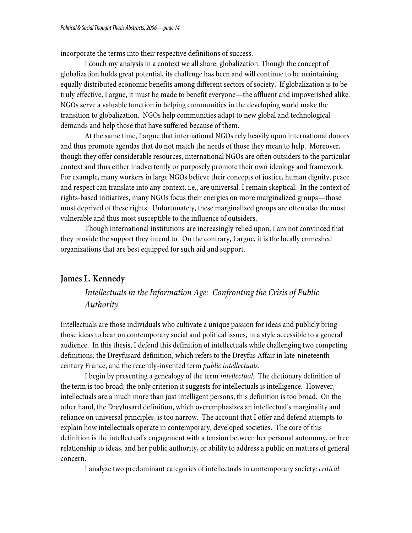incorporate the terms into their respective definitions of success.

I couch my analysis in a context we all share: globalization. Though the concept of globalization holds great potential, its challenge has been and will continue to be maintaining equally distributed economic benefits among different sectors of society. If globalization is to be truly effective, I argue, it must be made to benefit everyone—the affluent and impoverished alike. NGOs serve a valuable function in helping communities in the developing world make the transition to globalization. NGOs help communities adapt to new global and technological demands and help those that have suffered because of them.

At the same time, I argue that international NGOs rely heavily upon international donors and thus promote agendas that do not match the needs of those they mean to help. Moreover, though they offer considerable resources, international NGOs are often outsiders to the particular context and thus either inadvertently or purposely promote their own ideology and framework. For example, many workers in large NGOs believe their concepts of justice, human dignity, peace and respect can translate into any context, i.e., are universal. I remain skeptical. In the context of rights-based initiatives, many NGOs focus their energies on more marginalized groups—those most deprived of these rights. Unfortunately, these marginalized groups are often also the most vulnerable and thus most susceptible to the influence of outsiders.

Though international institutions are increasingly relied upon, I am not convinced that they provide the support they intend to. On the contrary, I argue, it is the locally enmeshed organizations that are best equipped for such aid and support.

### **James L. Kennedy**

# *Intellectuals in the Information Age: Confronting the Crisis of Public Authority*

Intellectuals are those individuals who cultivate a unique passion for ideas and publicly bring those ideas to bear on contemporary social and political issues, in a style accessible to a general audience. In this thesis, I defend this definition of intellectuals while challenging two competing definitions: the Dreyfusard definition, which refers to the Dreyfus Affair in late-nineteenth century France, and the recently-invented term *public intellectuals*.

 I begin by presenting a genealogy of the term *intellectual.* The dictionary definition of the term is too broad; the only criterion it suggests for intellectuals is intelligence. However, intellectuals are a much more than just intelligent persons; this definition is too broad. On the other hand, the Dreyfusard definition, which overemphasizes an intellectual's marginality and reliance on universal principles, is too narrow. The account that I offer and defend attempts to explain how intellectuals operate in contemporary, developed societies. The core of this definition is the intellectual's engagement with a tension between her personal autonomy, or free relationship to ideas, and her public authority, or ability to address a public on matters of general concern.

I analyze two predominant categories of intellectuals in contemporary society: *critical*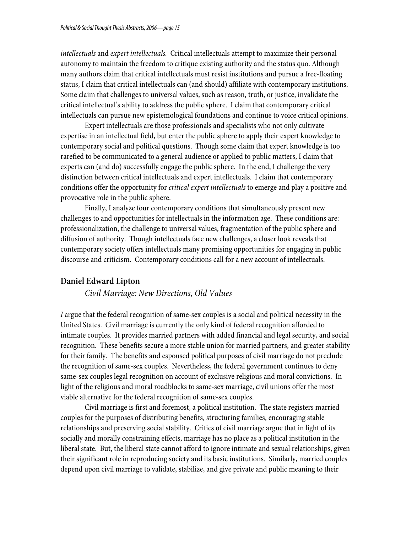*intellectuals* and *expert intellectuals.* Critical intellectuals attempt to maximize their personal autonomy to maintain the freedom to critique existing authority and the status quo. Although many authors claim that critical intellectuals must resist institutions and pursue a free-floating status, I claim that critical intellectuals can (and should) affiliate with contemporary institutions. Some claim that challenges to universal values, such as reason, truth, or justice, invalidate the critical intellectual's ability to address the public sphere. I claim that contemporary critical intellectuals can pursue new epistemological foundations and continue to voice critical opinions.

Expert intellectuals are those professionals and specialists who not only cultivate expertise in an intellectual field, but enter the public sphere to apply their expert knowledge to contemporary social and political questions. Though some claim that expert knowledge is too rarefied to be communicated to a general audience or applied to public matters, I claim that experts can (and do) successfully engage the public sphere. In the end, I challenge the very distinction between critical intellectuals and expert intellectuals. I claim that contemporary conditions offer the opportunity for *critical expert intellectuals* to emerge and play a positive and provocative role in the public sphere.

Finally, I analyze four contemporary conditions that simultaneously present new challenges to and opportunities for intellectuals in the information age. These conditions are: professionalization, the challenge to universal values, fragmentation of the public sphere and diffusion of authority. Though intellectuals face new challenges, a closer look reveals that contemporary society offers intellectuals many promising opportunities for engaging in public discourse and criticism. Contemporary conditions call for a new account of intellectuals.

## **Daniel Edward Lipton**

*Civil Marriage: New Directions, Old Values* 

*I* argue that the federal recognition of same-sex couples is a social and political necessity in the United States. Civil marriage is currently the only kind of federal recognition afforded to intimate couples. It provides married partners with added financial and legal security, and social recognition. These benefits secure a more stable union for married partners, and greater stability for their family. The benefits and espoused political purposes of civil marriage do not preclude the recognition of same-sex couples. Nevertheless, the federal government continues to deny same-sex couples legal recognition on account of exclusive religious and moral convictions. In light of the religious and moral roadblocks to same-sex marriage, civil unions offer the most viable alternative for the federal recognition of same-sex couples.

 Civil marriage is first and foremost, a political institution. The state registers married couples for the purposes of distributing benefits, structuring families, encouraging stable relationships and preserving social stability. Critics of civil marriage argue that in light of its socially and morally constraining effects, marriage has no place as a political institution in the liberal state. But, the liberal state cannot afford to ignore intimate and sexual relationships, given their significant role in reproducing society and its basic institutions. Similarly, married couples depend upon civil marriage to validate, stabilize, and give private and public meaning to their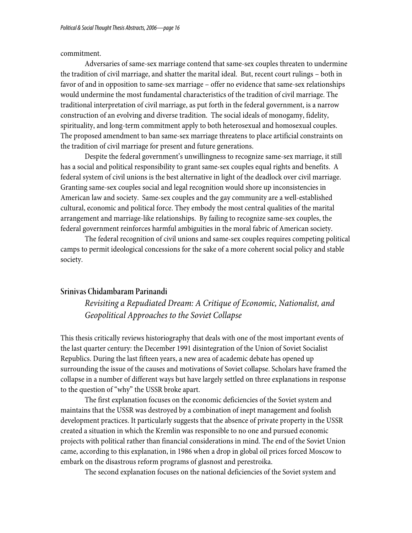#### commitment.

 Adversaries of same-sex marriage contend that same-sex couples threaten to undermine the tradition of civil marriage, and shatter the marital ideal. But, recent court rulings – both in favor of and in opposition to same-sex marriage – offer no evidence that same-sex relationships would undermine the most fundamental characteristics of the tradition of civil marriage. The traditional interpretation of civil marriage, as put forth in the federal government, is a narrow construction of an evolving and diverse tradition. The social ideals of monogamy, fidelity, spirituality, and long-term commitment apply to both heterosexual and homosexual couples. The proposed amendment to ban same-sex marriage threatens to place artificial constraints on the tradition of civil marriage for present and future generations.

 Despite the federal government's unwillingness to recognize same-sex marriage, it still has a social and political responsibility to grant same-sex couples equal rights and benefits. A federal system of civil unions is the best alternative in light of the deadlock over civil marriage. Granting same-sex couples social and legal recognition would shore up inconsistencies in American law and society. Same-sex couples and the gay community are a well-established cultural, economic and political force. They embody the most central qualities of the marital arrangement and marriage-like relationships. By failing to recognize same-sex couples, the federal government reinforces harmful ambiguities in the moral fabric of American society.

 The federal recognition of civil unions and same-sex couples requires competing political camps to permit ideological concessions for the sake of a more coherent social policy and stable society.

### **Srinivas Chidambaram Parinandi**

*Revisiting a Repudiated Dream: A Critique of Economic, Nationalist, and Geopolitical Approaches to the Soviet Collapse*

This thesis critically reviews historiography that deals with one of the most important events of the last quarter century: the December 1991 disintegration of the Union of Soviet Socialist Republics. During the last fifteen years, a new area of academic debate has opened up surrounding the issue of the causes and motivations of Soviet collapse. Scholars have framed the collapse in a number of different ways but have largely settled on three explanations in response to the question of "why" the USSR broke apart.

 The first explanation focuses on the economic deficiencies of the Soviet system and maintains that the USSR was destroyed by a combination of inept management and foolish development practices. It particularly suggests that the absence of private property in the USSR created a situation in which the Kremlin was responsible to no one and pursued economic projects with political rather than financial considerations in mind. The end of the Soviet Union came, according to this explanation, in 1986 when a drop in global oil prices forced Moscow to embark on the disastrous reform programs of glasnost and perestroika.

The second explanation focuses on the national deficiencies of the Soviet system and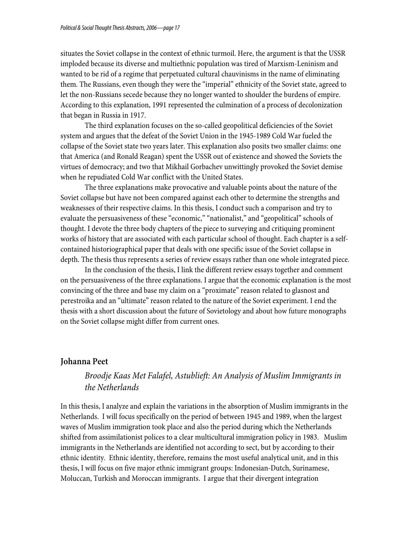situates the Soviet collapse in the context of ethnic turmoil. Here, the argument is that the USSR imploded because its diverse and multiethnic population was tired of Marxism-Leninism and wanted to be rid of a regime that perpetuated cultural chauvinisms in the name of eliminating them. The Russians, even though they were the "imperial" ethnicity of the Soviet state, agreed to let the non-Russians secede because they no longer wanted to shoulder the burdens of empire. According to this explanation, 1991 represented the culmination of a process of decolonization that began in Russia in 1917.

The third explanation focuses on the so-called geopolitical deficiencies of the Soviet system and argues that the defeat of the Soviet Union in the 1945-1989 Cold War fueled the collapse of the Soviet state two years later. This explanation also posits two smaller claims: one that America (and Ronald Reagan) spent the USSR out of existence and showed the Soviets the virtues of democracy; and two that Mikhail Gorbachev unwittingly provoked the Soviet demise when he repudiated Cold War conflict with the United States.

The three explanations make provocative and valuable points about the nature of the Soviet collapse but have not been compared against each other to determine the strengths and weaknesses of their respective claims. In this thesis, I conduct such a comparison and try to evaluate the persuasiveness of these "economic," "nationalist," and "geopolitical" schools of thought. I devote the three body chapters of the piece to surveying and critiquing prominent works of history that are associated with each particular school of thought. Each chapter is a selfcontained historiographical paper that deals with one specific issue of the Soviet collapse in depth. The thesis thus represents a series of review essays rather than one whole integrated piece.

In the conclusion of the thesis, I link the different review essays together and comment on the persuasiveness of the three explanations. I argue that the economic explanation is the most convincing of the three and base my claim on a "proximate" reason related to glasnost and perestroika and an "ultimate" reason related to the nature of the Soviet experiment. I end the thesis with a short discussion about the future of Sovietology and about how future monographs on the Soviet collapse might differ from current ones.

### **Johanna Peet**

# *Broodje Kaas Met Falafel, Astublieft: An Analysis of Muslim Immigrants in the Netherlands*

In this thesis, I analyze and explain the variations in the absorption of Muslim immigrants in the Netherlands. I will focus specifically on the period of between 1945 and 1989, when the largest waves of Muslim immigration took place and also the period during which the Netherlands shifted from assimilationist polices to a clear multicultural immigration policy in 1983. Muslim immigrants in the Netherlands are identified not according to sect, but by according to their ethnic identity. Ethnic identity, therefore, remains the most useful analytical unit, and in this thesis, I will focus on five major ethnic immigrant groups: Indonesian-Dutch, Surinamese, Moluccan, Turkish and Moroccan immigrants. I argue that their divergent integration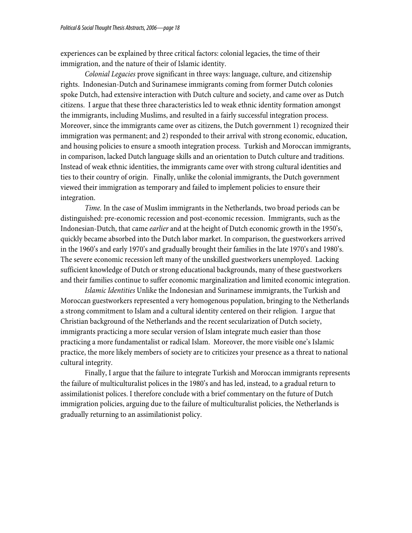experiences can be explained by three critical factors: colonial legacies, the time of their immigration, and the nature of their of Islamic identity.

*Colonial Legacies* prove significant in three ways: language, culture, and citizenship rights. Indonesian-Dutch and Surinamese immigrants coming from former Dutch colonies spoke Dutch, had extensive interaction with Dutch culture and society, and came over as Dutch citizens. I argue that these three characteristics led to weak ethnic identity formation amongst the immigrants, including Muslims, and resulted in a fairly successful integration process. Moreover, since the immigrants came over as citizens, the Dutch government 1) recognized their immigration was permanent; and 2) responded to their arrival with strong economic, education, and housing policies to ensure a smooth integration process. Turkish and Moroccan immigrants, in comparison, lacked Dutch language skills and an orientation to Dutch culture and traditions. Instead of weak ethnic identities, the immigrants came over with strong cultural identities and ties to their country of origin. Finally, unlike the colonial immigrants, the Dutch government viewed their immigration as temporary and failed to implement policies to ensure their integration.

*Time.* In the case of Muslim immigrants in the Netherlands, two broad periods can be distinguished: pre-economic recession and post-economic recession. Immigrants, such as the Indonesian-Dutch, that came *earlier* and at the height of Dutch economic growth in the 1950's, quickly became absorbed into the Dutch labor market. In comparison, the guestworkers arrived in the 1960's and early 1970's and gradually brought their families in the late 1970's and 1980's. The severe economic recession left many of the unskilled guestworkers unemployed. Lacking sufficient knowledge of Dutch or strong educational backgrounds, many of these guestworkers and their families continue to suffer economic marginalization and limited economic integration.

*Islamic Identities* Unlike the Indonesian and Surinamese immigrants, the Turkish and Moroccan guestworkers represented a very homogenous population, bringing to the Netherlands a strong commitment to Islam and a cultural identity centered on their religion. I argue that Christian background of the Netherlands and the recent secularization of Dutch society, immigrants practicing a more secular version of Islam integrate much easier than those practicing a more fundamentalist or radical Islam. Moreover, the more visible one's Islamic practice, the more likely members of society are to criticizes your presence as a threat to national cultural integrity.

Finally, I argue that the failure to integrate Turkish and Moroccan immigrants represents the failure of multiculturalist polices in the 1980's and has led, instead, to a gradual return to assimilationist polices. I therefore conclude with a brief commentary on the future of Dutch immigration policies, arguing due to the failure of multiculturalist policies, the Netherlands is gradually returning to an assimilationist policy.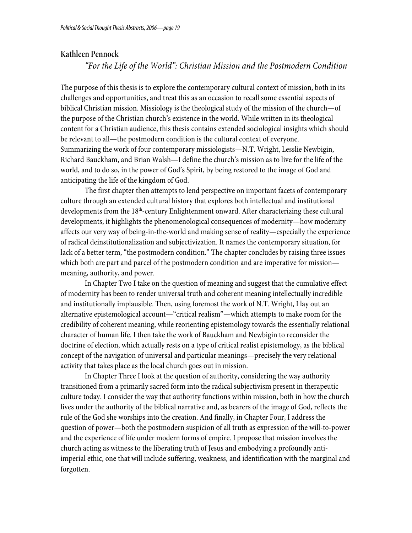### **Kathleen Pennock**

*"For the Life of the World": Christian Mission and the Postmodern Condition*

The purpose of this thesis is to explore the contemporary cultural context of mission, both in its challenges and opportunities, and treat this as an occasion to recall some essential aspects of biblical Christian mission. Missiology is the theological study of the mission of the church—of the purpose of the Christian church's existence in the world. While written in its theological content for a Christian audience, this thesis contains extended sociological insights which should be relevant to all—the postmodern condition is the cultural context of everyone. Summarizing the work of four contemporary missiologists—N.T. Wright, Lesslie Newbigin, Richard Bauckham, and Brian Walsh—I define the church's mission as to live for the life of the world, and to do so, in the power of God's Spirit, by being restored to the image of God and anticipating the life of the kingdom of God.

The first chapter then attempts to lend perspective on important facets of contemporary culture through an extended cultural history that explores both intellectual and institutional developments from the 18<sup>th</sup>-century Enlightenment onward. After characterizing these cultural developments, it highlights the phenomenological consequences of modernity—how modernity affects our very way of being-in-the-world and making sense of reality—especially the experience of radical deinstitutionalization and subjectivization. It names the contemporary situation, for lack of a better term, "the postmodern condition." The chapter concludes by raising three issues which both are part and parcel of the postmodern condition and are imperative for mission meaning, authority, and power.

In Chapter Two I take on the question of meaning and suggest that the cumulative effect of modernity has been to render universal truth and coherent meaning intellectually incredible and institutionally implausible. Then, using foremost the work of N.T. Wright, I lay out an alternative epistemological account—"critical realism"—which attempts to make room for the credibility of coherent meaning, while reorienting epistemology towards the essentially relational character of human life. I then take the work of Bauckham and Newbigin to reconsider the doctrine of election, which actually rests on a type of critical realist epistemology, as the biblical concept of the navigation of universal and particular meanings—precisely the very relational activity that takes place as the local church goes out in mission.

In Chapter Three I look at the question of authority, considering the way authority transitioned from a primarily sacred form into the radical subjectivism present in therapeutic culture today. I consider the way that authority functions within mission, both in how the church lives under the authority of the biblical narrative and, as bearers of the image of God, reflects the rule of the God she worships into the creation. And finally, in Chapter Four, I address the question of power—both the postmodern suspicion of all truth as expression of the will-to-power and the experience of life under modern forms of empire. I propose that mission involves the church acting as witness to the liberating truth of Jesus and embodying a profoundly antiimperial ethic, one that will include suffering, weakness, and identification with the marginal and forgotten.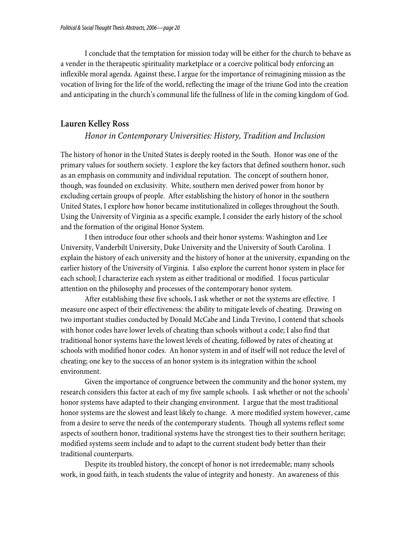I conclude that the temptation for mission today will be either for the church to behave as a vender in the therapeutic spirituality marketplace or a coercive political body enforcing an inflexible moral agenda. Against these, I argue for the importance of reimagining mission as the vocation of living for the life of the world, reflecting the image of the triune God into the creation and anticipating in the church's communal life the fullness of life in the coming kingdom of God.

### **Lauren Kelley Ross**

### *Honor in Contemporary Universities: History, Tradition and Inclusion*

The history of honor in the United States is deeply rooted in the South. Honor was one of the primary values for southern society. I explore the key factors that defined southern honor, such as an emphasis on community and individual reputation. The concept of southern honor, though, was founded on exclusivity. White, southern men derived power from honor by excluding certain groups of people. After establishing the history of honor in the southern United States, I explore how honor became institutionalized in colleges throughout the South. Using the University of Virginia as a specific example, I consider the early history of the school and the formation of the original Honor System.

 I then introduce four other schools and their honor systems: Washington and Lee University, Vanderbilt University, Duke University and the University of South Carolina. I explain the history of each university and the history of honor at the university, expanding on the earlier history of the University of Virginia. I also explore the current honor system in place for each school; I characterize each system as either traditional or modified. I focus particular attention on the philosophy and processes of the contemporary honor system.

 After establishing these five schools, I ask whether or not the systems are effective. I measure one aspect of their effectiveness: the ability to mitigate levels of cheating. Drawing on two important studies conducted by Donald McCabe and Linda Trevino, I contend that schools with honor codes have lower levels of cheating than schools without a code; I also find that traditional honor systems have the lowest levels of cheating, followed by rates of cheating at schools with modified honor codes. An honor system in and of itself will not reduce the level of cheating; one key to the success of an honor system is its integration within the school environment.

 Given the importance of congruence between the community and the honor system, my research considers this factor at each of my five sample schools. I ask whether or not the schools' honor systems have adapted to their changing environment. I argue that the most traditional honor systems are the slowest and least likely to change. A more modified system however, came from a desire to serve the needs of the contemporary students. Though all systems reflect some aspects of southern honor, traditional systems have the strongest ties to their southern heritage; modified systems seem include and to adapt to the current student body better than their traditional counterparts.

 Despite its troubled history, the concept of honor is not irredeemable; many schools work, in good faith, in teach students the value of integrity and honesty. An awareness of this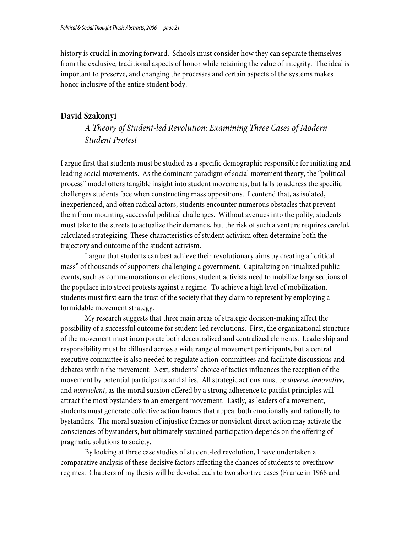history is crucial in moving forward. Schools must consider how they can separate themselves from the exclusive, traditional aspects of honor while retaining the value of integrity. The ideal is important to preserve, and changing the processes and certain aspects of the systems makes honor inclusive of the entire student body.

### **David Szakonyi**

*A Theory of Student-led Revolution: Examining Three Cases of Modern Student Protest* 

I argue first that students must be studied as a specific demographic responsible for initiating and leading social movements. As the dominant paradigm of social movement theory, the "political process" model offers tangible insight into student movements, but fails to address the specific challenges students face when constructing mass oppositions. I contend that, as isolated, inexperienced, and often radical actors, students encounter numerous obstacles that prevent them from mounting successful political challenges. Without avenues into the polity, students must take to the streets to actualize their demands, but the risk of such a venture requires careful, calculated strategizing. These characteristics of student activism often determine both the trajectory and outcome of the student activism.

I argue that students can best achieve their revolutionary aims by creating a "critical mass" of thousands of supporters challenging a government. Capitalizing on ritualized public events, such as commemorations or elections, student activists need to mobilize large sections of the populace into street protests against a regime. To achieve a high level of mobilization, students must first earn the trust of the society that they claim to represent by employing a formidable movement strategy.

My research suggests that three main areas of strategic decision-making affect the possibility of a successful outcome for student-led revolutions. First, the organizational structure of the movement must incorporate both decentralized and centralized elements. Leadership and responsibility must be diffused across a wide range of movement participants, but a central executive committee is also needed to regulate action-committees and facilitate discussions and debates within the movement. Next, students' choice of tactics influences the reception of the movement by potential participants and allies. All strategic actions must be *diverse*, *innovative*, and *nonviolent*, as the moral suasion offered by a strong adherence to pacifist principles will attract the most bystanders to an emergent movement. Lastly, as leaders of a movement, students must generate collective action frames that appeal both emotionally and rationally to bystanders. The moral suasion of injustice frames or nonviolent direct action may activate the consciences of bystanders, but ultimately sustained participation depends on the offering of pragmatic solutions to society.

By looking at three case studies of student-led revolution, I have undertaken a comparative analysis of these decisive factors affecting the chances of students to overthrow regimes. Chapters of my thesis will be devoted each to two abortive cases (France in 1968 and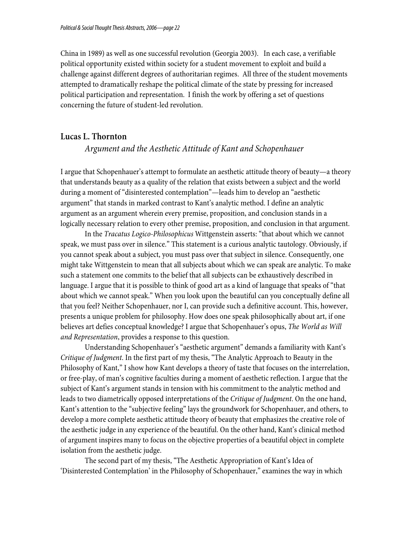China in 1989) as well as one successful revolution (Georgia 2003). In each case, a verifiable political opportunity existed within society for a student movement to exploit and build a challenge against different degrees of authoritarian regimes. All three of the student movements attempted to dramatically reshape the political climate of the state by pressing for increased political participation and representation. I finish the work by offering a set of questions concerning the future of student-led revolution.

### **Lucas L. Thornton**

*Argument and the Aesthetic Attitude of Kant and Schopenhauer* 

I argue that Schopenhauer's attempt to formulate an aesthetic attitude theory of beauty—a theory that understands beauty as a quality of the relation that exists between a subject and the world during a moment of "disinterested contemplation"—leads him to develop an "aesthetic argument" that stands in marked contrast to Kant's analytic method. I define an analytic argument as an argument wherein every premise, proposition, and conclusion stands in a logically necessary relation to every other premise, proposition, and conclusion in that argument.

In the *Tracatus Logico-Philosophicus* Wittgenstein asserts: "that about which we cannot speak, we must pass over in silence." This statement is a curious analytic tautology. Obviously, if you cannot speak about a subject, you must pass over that subject in silence. Consequently, one might take Wittgenstein to mean that all subjects about which we can speak are analytic. To make such a statement one commits to the belief that all subjects can be exhaustively described in language. I argue that it is possible to think of good art as a kind of language that speaks of "that about which we cannot speak." When you look upon the beautiful can you conceptually define all that you feel? Neither Schopenhauer, nor I, can provide such a definitive account. This, however, presents a unique problem for philosophy. How does one speak philosophically about art, if one believes art defies conceptual knowledge? I argue that Schopenhauer's opus, *The World as Will and Representation*, provides a response to this question.

Understanding Schopenhauer's "aesthetic argument" demands a familiarity with Kant's *Critique of Judgment*. In the first part of my thesis, "The Analytic Approach to Beauty in the Philosophy of Kant," I show how Kant develops a theory of taste that focuses on the interrelation, or free-play, of man's cognitive faculties during a moment of aesthetic reflection. I argue that the subject of Kant's argument stands in tension with his commitment to the analytic method and leads to two diametrically opposed interpretations of the *Critique of Judgment*. On the one hand, Kant's attention to the "subjective feeling" lays the groundwork for Schopenhauer, and others, to develop a more complete aesthetic attitude theory of beauty that emphasizes the creative role of the aesthetic judge in any experience of the beautiful. On the other hand, Kant's clinical method of argument inspires many to focus on the objective properties of a beautiful object in complete isolation from the aesthetic judge.

The second part of my thesis, "The Aesthetic Appropriation of Kant's Idea of 'Disinterested Contemplation' in the Philosophy of Schopenhauer," examines the way in which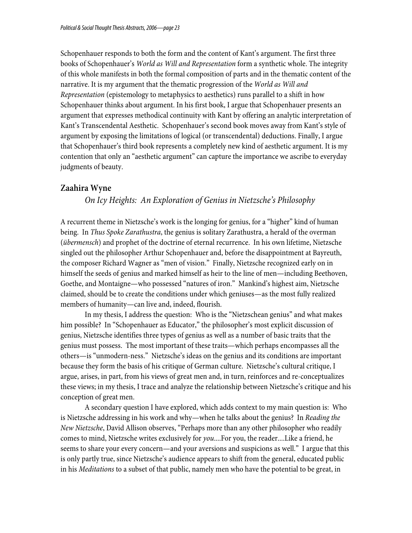Schopenhauer responds to both the form and the content of Kant's argument. The first three books of Schopenhauer's *World as Will and Representation* form a synthetic whole. The integrity of this whole manifests in both the formal composition of parts and in the thematic content of the narrative. It is my argument that the thematic progression of the *World as Will and Representation* (epistemology to metaphysics to aesthetics) runs parallel to a shift in how Schopenhauer thinks about argument. In his first book, I argue that Schopenhauer presents an argument that expresses methodical continuity with Kant by offering an analytic interpretation of Kant's Transcendental Aesthetic. Schopenhauer's second book moves away from Kant's style of argument by exposing the limitations of logical (or transcendental) deductions. Finally, I argue that Schopenhauer's third book represents a completely new kind of aesthetic argument. It is my contention that only an "aesthetic argument" can capture the importance we ascribe to everyday judgments of beauty.

### **Zaahira Wyne**

### *On Icy Heights: An Exploration of Genius in Nietzsche's Philosophy*

A recurrent theme in Nietzsche's work is the longing for genius, for a "higher" kind of human being. In *Thus Spoke Zarathustra*, the genius is solitary Zarathustra, a herald of the overman (*übermensch*) and prophet of the doctrine of eternal recurrence. In his own lifetime, Nietzsche singled out the philosopher Arthur Schopenhauer and, before the disappointment at Bayreuth, the composer Richard Wagner as "men of vision." Finally, Nietzsche recognized early on in himself the seeds of genius and marked himself as heir to the line of men—including Beethoven, Goethe, and Montaigne—who possessed "natures of iron." Mankind's highest aim, Nietzsche claimed, should be to create the conditions under which geniuses—as the most fully realized members of humanity—can live and, indeed, flourish.

 In my thesis, I address the question: Who is the "Nietzschean genius" and what makes him possible? In "Schopenhauer as Educator," the philosopher's most explicit discussion of genius, Nietzsche identifies three types of genius as well as a number of basic traits that the genius must possess. The most important of these traits—which perhaps encompasses all the others—is "unmodern-ness." Nietzsche's ideas on the genius and its conditions are important because they form the basis of his critique of German culture. Nietzsche's cultural critique, I argue, arises, in part, from his views of great men and, in turn, reinforces and re-conceptualizes these views; in my thesis, I trace and analyze the relationship between Nietzsche's critique and his conception of great men.

 A secondary question I have explored, which adds context to my main question is: Who is Nietzsche addressing in his work and why—when he talks about the genius? In *Reading the New Nietzsche*, David Allison observes, "Perhaps more than any other philosopher who readily comes to mind, Nietzsche writes exclusively for *you*....For you, the reader....Like a friend, he seems to share your every concern—and your aversions and suspicions as well." I argue that this is only partly true, since Nietzsche's audience appears to shift from the general, educated public in his *Meditations* to a subset of that public, namely men who have the potential to be great, in